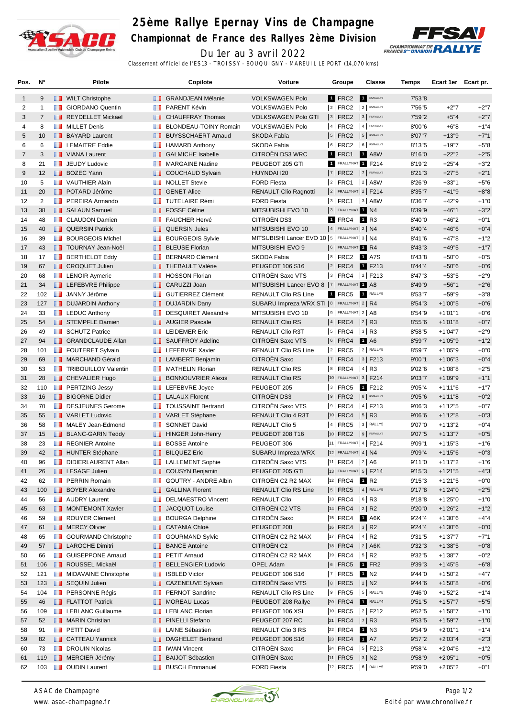

## **25ème Rallye Epernay Vins de Champagne Championnat de France des Rallyes 2ème Division**



Du 1er au 3 avril 2022

Classement officiel de l'ES13 - TROISSY - BOUQUIGNY - MAREUIL LE PORT (14,070 kms)

| Pos.           | N°             | Pilote                                     |               | Copilote                              | <b>Voiture</b>                                  | Groupe                     | Classe               | Temps   | Ecart 1er Ecart pr. |        |
|----------------|----------------|--------------------------------------------|---------------|---------------------------------------|-------------------------------------------------|----------------------------|----------------------|---------|---------------------|--------|
| 1              | 9              | <b>NILT</b> Christophe                     |               | <b>B</b> GRANDJEAN Mélanie            | <b>VOLKSWAGEN Polo</b>                          | 1 FRC2                     | R5/RALLY2            | 7'53"8  |                     |        |
| 2              | 1              | <b>T</b> GIORDANO Quentin                  | <b>THE R</b>  | PARENT Kévin                          | <b>VOLKSWAGEN Polo</b>                          | $ 2 $ FRC2                 | 2 R5/RALLY2          | 7'56"5  | $+2"7$              | $+2"7$ |
| 3              | $\overline{7}$ | REYDELLET Mickael                          | . .           | <b>CHAUFFRAY Thomas</b>               | <b>VOLKSWAGEN Polo GTI</b>                      | $3$ FRC2                   | 3 R5/RALLY2          | 7'59"2  | $+5"4$              | $+2"7$ |
| 4              | 8              | MILLET Denis                               | ш             | BLONDEAU-TOINY Romain                 | <b>VOLKSWAGEN Polo</b>                          | $ 4 $ FRC2                 | 4 R5/RALLY2          | 8'00"6  | $+6"8$              | $+1"4$ |
| 5              | 10             | <b>BAYARD Laurent</b>                      | ш             | <b>BUYSSCHAERT Arnaud</b>             | <b>SKODA Fabia</b>                              | $ 5 $ FRC2                 | 5 R5/RALLY2          | 8'07"7  | $+13"9$             | $+7"1$ |
| 6              | 6              | <b>EXECUTE Eddie</b>                       | w             | <b>HAMARD Anthony</b>                 | SKODA Fabia                                     | $6$ FRC2                   | 6 RS/RALLY2          | 8'13"5  | $+19"7$             | $+5"8$ |
| $\overline{7}$ | 3              | VIANA Laurent                              | ш             | <b>GALMICHE Isabelle</b>              | CITROËN DS3 WRC                                 | 1 FRC1                     | <b>1 A8W</b>         | 8'16"0  | $+22"2$             | $+2"5$ |
| 8              | 21             | <b>JEUDY Ludovic</b>                       |               | <b>NARGAINE Nadine</b>                | PEUGEOT 205 GTI                                 | 1 FRALLYNAT 1 F214         |                      | 8'19"2  | $+25"4$             | $+3"2$ |
| 9              | 12             | <b>BOZEC Yann</b>                          | ш             | <b>COUCHAUD Sylvain</b>               | HUYNDAI I20                                     | $ 7 $ FRC2 $ 7 $ R5/RALLY2 |                      | 8'21"3  | $+27"5$             | $+2"1$ |
| 10             | 5              | <b>T</b> VAUTHIER Alain                    |               | <b>NOLLET</b> Stevie                  | <b>FORD Fiesta</b>                              | $ 2 $ FRC1                 | $ 2 $ A8W            | 8'26"9  | $+33"1$             | $+5"6$ |
| 11             | 20             | <b>DE POTARD Jérôme</b>                    |               | <b>B</b> GENET Alice                  | <b>RENAULT Clio Ragnotti</b>                    | $ 2 $ FRALLYNAT $ 2 $ F214 |                      | 8'35"7  | $+41"9$             | $+8"8$ |
| 12             | $\overline{2}$ | <b>FREIRA</b> Armando                      |               | <b>TUTELAIRE Rémi</b>                 | <b>FORD Fiesta</b>                              | 3   FRC1                   | $ 3 $ A8W            | 8'36"7  | $+42"9$             | $+1"0$ |
| 13             | 38             | <b>SALAUN Samuel</b>                       |               | <b>FOSSE Céline</b>                   | MITSUBISHI EVO 10                               | 3 FRALLYNAT 1 N4           |                      | 8'39"9  | $+46"1$             | $+3"2$ |
| 14             | 48             | <b>CLAUDON Damien</b>                      | ш             | <b>FAUCHER Hervé</b>                  | CITROËN DS3                                     | 1 FRC4                     | 1 R3                 | 8'40"0  | $+46"2$             | $+0"1$ |
| 15             | 40             | <b>QUERSIN Patrick</b>                     | ш             | <b>QUERSIN Jules</b>                  | MITSUBISHI EVO 10                               | $ 4 $ FRALLYNAT $ 2 $ N4   |                      | 8'40"4  | $+46"6$             | $+0"4$ |
| 16             | 39             | <b>BOURGEOIS Michel</b>                    | w             | <b>BOURGEOIS Sylvie</b>               | MITSUBISHI Lancer EVO 10   5   FRALLYNAT 3   N4 |                            |                      | 8'41"6  | $+47"8$             | $+1"2$ |
| 17             | 43             | <b>TOURNAY Jean-Noël</b>                   | ш             | <b>BLEUSE Florian</b>                 | MITSUBISHI EVO 9                                | 6 FRALLYNAT 1 R4           |                      | 8'43"3  | $+49"5$             | $+1"7$ |
| 18             | 17             | <b>BERTHELOT Eddy</b>                      | <b>ILL B</b>  | <b>BERNARD Clément</b>                | <b>SKODA Fabia</b>                              | $ 8 $ FRC2 1 A7S           |                      | 8'43"8  | $+50"0$             | $+0"5$ |
| 19             | 67             | <b>CROQUET Julien</b>                      |               | <b>THEBAULT Valérie</b>               | <b>PEUGEOT 106 S16</b>                          | $ 2 $ FRC4                 | 1 F213               | 8'44"4  |                     | $+0"6$ |
|                |                |                                            |               |                                       |                                                 |                            |                      |         | $+50"6$             |        |
| 20             | 68             | <b>EXECUTE:</b> LENOIR Aymeric             | ш             | <b>HOSSON Florian</b><br>CARUZZI Joan | CITROËN Saxo VTS                                | 3 FRC4                     | $ 2 $ F213           | 8'47"3  | $+53"5$             | $+2"9$ |
| 21             | 34             | <b>Exercise Exercise</b> LEFEBVRE Philippe | . .           |                                       | MITSUBISHI Lancer EVO 8   7   FRALLYNAT 1 A8    |                            |                      | 8'49"9  | $+56"1$             | $+2"6$ |
| 22             | 102            | <b>JANNY Jérôme</b>                        | <b>A 19</b>   | <b>GUTIERREZ Clément</b>              | <b>RENAULT Clio RS Line</b>                     | 1 FRC5                     | RALLY5               | 8'53"7  | $+59"9$             | $+3"8$ |
| 23             | 127            | <b>DUJARDIN Anthony</b>                    | ш             | <b>DUJARDIN Dany</b>                  | SUBARU Impreza WRX STI   8   FRALLYNAT   2   R4 |                            |                      | 8'54"3  | $+1'00"5$           | $+0"6$ |
| 24             | 33             | <b>EXECUTE:</b> LEDUC Anthony              | m             | <b>DESQUIRET Alexandre</b>            | MITSUBISHI EVO 10                               | $9$ FRALLYNAT $2$ A8       |                      | 8'54"9  | $+1'01"1$           | $+0"6$ |
| 25             | 54             | STEMPFLE Damien                            |               | <b>AUGIER Pascale</b>                 | <b>RENAULT Clio RS</b>                          | $ 4 $ FRC4                 | $ 2 $ R <sub>3</sub> | 8'55"6  | $+1'01"8$           | $+0"7$ |
| 26             | 49             | <b>SCHUTZ Patrice</b>                      | ш             | <b>LEIDEMER Eric</b>                  | RENAULT Clio R3T                                | 5   FRC4                   | $ 3 $ R3             | 8'58"5  | $+1'04"7$           | $+2"9$ |
| 27             | 94             | <b>GRANDCLAUDE Allan</b>                   |               | <b>B</b> SAUFFROY Adeline             | CITROËN Saxo VTS                                | $ 6 $ FRC4                 | 1 A <sub>6</sub>     | 8'59"7  | $+1'05"9$           | $+1"2$ |
| 28             | 101            | <b>FOUTERET Sylvain</b>                    |               | <b>LEFEBVRE Xavier</b>                | <b>RENAULT Clio RS Line</b>                     | $ 2 $ FRC5                 | 2 RALLY5             | 8'59"7  | $+1'05"9$           | $+0"0$ |
| 29             | 69             | <b>NARCHAND Gérald</b>                     |               | <b>LAMBERT Benjamin</b>               | CITROËN Saxo                                    | 7   FRC4   3   F213        |                      | 9'00"1  | $+1'06''3$          | $+0"4$ |
| 30             | 53             | <b>TRIBOUILLOY Valentin</b>                |               | <b>MATHELIN Florian</b>               | <b>RENAULT Clio RS</b>                          | $ 8 $ FRC4 $ 4 $ R3        |                      | 9'02"6  | $+1'08"8$           | $+2"5$ |
| 31             | 28             | <b>F</b> CHEVALIER Hugo                    | ш             | <b>BONNOUVRIER Alexis</b>             | <b>RENAULT Clio RS</b>                          | 10 FRALLYNAT 3   F214      |                      | 9'03"7  | $+1'09''9$          | $+1"1$ |
| 32             | 110            | <b>FRITZING Jessy</b>                      | ш             | LEFEBVRE Joyce                        | PEUGEOT 205                                     | 3 FRC5                     | 1 F212               | 9'05"4  | $+1'11'6$           | $+1"7$ |
| 33             | 16             | <b>BIGORNE Didier</b>                      |               | <b>LALAUX Florent</b>                 | CITROËN DS3                                     | 9 FRC2 8 R5/RALLY2         |                      | 9'05"6  | $+1'11''8$          | $+0"2$ |
| 34             | 70             | DESJEUNES Gerome                           |               | <b>TOUSSAINT Bertrand</b>             | CITROËN Saxo VTS                                | $ 9 $ FRC4                 | $ 4 $ F213           | 9'06"3  | $+1'12"5$           | $+0"7$ |
| 35             | 55             | VARLET Ludovic                             |               | VARLET Stéphane                       | RENAULT Clio 4 R3T                              | 10 FRC4                    | $ 5 $ R3             | 9'06"6  | $+1'12''8$          | $+0"3$ |
| 36             | 58             | MALEY Jean-Edmond                          | <b>The Co</b> | <b>SONNET David</b>                   | <b>RENAULT Clio 5</b>                           | 4 FRC5                     | 3 RALLY5             | 9'07"0  | $+1'13''2$          | $+0"4$ |
| 37             | 15             | <b>BLANC-GARIN Teddy</b>                   | ш             | <b>HINGER John-Henry</b>              | PEUGEOT 208 T16                                 | 10 FRC2 9 R5/RALLY2        |                      | 9'07"5  | $+1'13"7$           | $+0"5$ |
| 38             | 23             | <b>REGNIER Antoine</b>                     | m             | <b>BOSSE Antoine</b>                  | PEUGEOT 306                                     | $ 11 $ FRALLYNAT 4   F214  |                      | 9'09"1  | $+1'15"3$           | $+1"6$ |
| 39             | 42             | <b>HUNTER Stéphane</b>                     |               | <b>BILQUEZ Eric</b>                   | SUBARU Impreza WRX                              | $ 12 $ FRALLYNAT 4   N4    |                      | 9'09"4  | $+1'15"6$           | $+0"3$ |
| 40             | 96             | DIDIERLAURENT Allan                        |               | <b>LALLEMENT Sophie</b>               | CITROEN Saxo VTS                                | 11   FRC4   2   A6         |                      | 9'11"0  | $+1'17"2$           | $+1"6$ |
| 41             | 26             | <b>LESAGE Julien</b>                       |               | <b>COUSYN Benjamin</b>                | PEUGEOT 205 GTI                                 | 13 FRALLYNAT 5   F214      |                      | 9'15''3 | $+1'21"5$           | $+4"3$ |
| 42             | 62             | <b>F</b> PERRIN Romain                     |               | GOUTRY - ANDRE Albin                  | CITROËN C2 R2 MAX                               | <sup>12</sup> FRC4         | 1 R <sub>2</sub>     | 9'15''3 | $+1'21"5$           | $+0"0$ |
| 43             | 100            | <b>BOYER Alexandre</b>                     |               | <b>B</b> GALLINA Florent              | <b>RENAULT Clio RS Line</b>                     | $5$ FRC5                   | $ 4 $ RALLY5         | 9'17"8  | $+1'24"0$           | $+2"5$ |
| 44             | 56             | <b>NAUDRY</b> Laurent                      | m             | <b>DELMAESTRO Vincent</b>             | <b>RENAULT Clio</b>                             | 13 FRC4                    | $ 6 $ R3             | 9'18"8  | $+1'25"0$           | $+1"0$ |
| 45             | 63             | MONTEMONT Xavier                           |               | <b>JACQUOT Louise</b>                 | CITROËN C2 VTS                                  | 14 FRC4                    | 2 R2                 | 9'20"0  | $+1'26''2$          | $+1"2$ |
| 46             | 59             | <b>ROUYER Clément</b>                      | w             | <b>BOURGA Delphine</b>                | CITROËN Saxo                                    | <sup>15</sup> FRC4         | 1 A6K                | 9'24"4  | $+1'30''6$          | $+4"4$ |
| 47             | 61             | MERCY Olivier                              | ш             | <b>CATANIA Chloé</b>                  | PEUGEOT 208                                     | 16  FRC4   3   R2          |                      | 9'24"4  | $+1'30''6$          | $+0"0$ |
| 48             | 65             | <b>B</b> GOURMAND Christophe               | u p           | <b>GOURMAND Sylvie</b>                | CITROËN C2 R2 MAX                               | 17 FRC4                    | $ 4 $ R <sub>2</sub> | 9'31"5  | $+1'37"7$           | $+7"1$ |
| 49             | 57             | <b>LAROCHE Dimitri</b>                     | ш             | <b>BANCE Antoine</b>                  | CITROËN C2                                      | $ 18 $ FRC4                | $ 2 $ A6K            | 9'32"3  | $+1'38"5$           | $+0"8$ |
| 50             | 66             | GUISEPPONE Arnaud                          | m             | <b>PETIT Arnaud</b>                   | CITROËN C2 R2 MAX                               | 19 FRC4                    | $ 5 $ R2             | 9'32"5  | $+1'38"7$           | $+0"2$ |
| 51             | 106            | <b>ROUSSEL Mickaël</b>                     | ш             | <b>BELLENGIER Ludovic</b>             | <b>OPEL Adam</b>                                | $ 6 $ FRC5                 | $1$ FR2              | 9'39"3  | $+1'45"5$           | $+6"8$ |
| 52             | 121            | <b>NIDAVAINE Christophe</b>                | w             | <b>ISBLED Victor</b>                  | PEUGEOT 106 S16                                 | $ 7 $ FRC5                 | 1 N <sub>2</sub>     | 9'44"0  | $+1'50"2$           | $+4"7$ |
| 53             | 123            | <b>SEQUIN Julien</b>                       |               | <b>CAZENEUVE Sylvian</b>              | CITROËN Saxo VTS                                | $ 8 $ FRC5                 | $ 2 $ N <sub>2</sub> | 9'44"6  | $+1'50''8$          | $+0"6$ |
| 54             | 104            | <b>FERSONNE Régis</b>                      | u p           | <b>PERNOT Sandrine</b>                | RENAULT Clio RS Line                            | $9$ FRC5                   | 5 RALLY5             | 9'46"0  | $+1'52"2$           | $+1"4$ |
| 55             | 46             | <b>FLATTOT Patrick</b>                     | ш             | <b>MOREAU Lucas</b>                   | PEUGEOT 208 Rallye                              | $ 20 $ FRC4                | RALLY4               | 9'51"5  | $+1'57"7$           | $+5"5$ |
| 56             | 109            | <b>LEBLANC Guillaume</b>                   | <b>ILL B</b>  | <b>LEBLANC Florian</b>                | PEUGEOT 106 XSI                                 | 10 FRC5                    | 2 F212               | 9'52"5  | $+1'58"7$           | $+1"0$ |
| 57             | 52             | <b>NARIN Christian</b>                     | ш             | <b>PINELLI Stefano</b>                | PEUGEOT 207 RC                                  | $ 21 $ FRC4                | $ 7 $ R3             | 9'53"5  | $+1'59"7$           | $+1"0$ |
| 58             | 91             | <b>F</b> PETIT David                       |               | <b>B</b> LAINE Sébastien              | RENAULT Clio 3 RS                               | $ 22 $ FRC4                | $1$ N3               | 9'54"9  | $+2'01"1$           | $+1"4$ |
| 59             | 82             | <b>CATTEAU Yannick</b>                     | <b>II</b>     | <b>DAGHELET Bertrand</b>              | PEUGEOT 306 S16                                 | $ 23 $ FRC4                | <b>1</b> A7          | 9'57"2  | $+2'03''4$          | $+2"3$ |
| 60             | 73             | <b>DROUIN Nicolas</b>                      | ш             | <b>IWAN Vincent</b>                   | CITROËN Saxo                                    | $ 24 $ FRC4                | $ 5 $ F213           | 9'58"4  | $+2'04"6$           | $+1"2$ |
| 61             | 119            | MERCIER Jérémy                             | ш             | <b>BAIJOT Sébastien</b>               | CITROËN Saxo                                    | $ 11 $ FRC5 $ 3 $ N2       |                      | 9'58"9  | $+2'05"1$           | $+0"5$ |
| 62             | 103            | <b>D</b> OUDIN Laurent                     |               | <b>BUSCH Emmanuel</b>                 | <b>FORD Fiesta</b>                              | 12 FRC5 6 RALLY5           |                      | 9'59"0  | $+2'05"2$           | $+0"1$ |